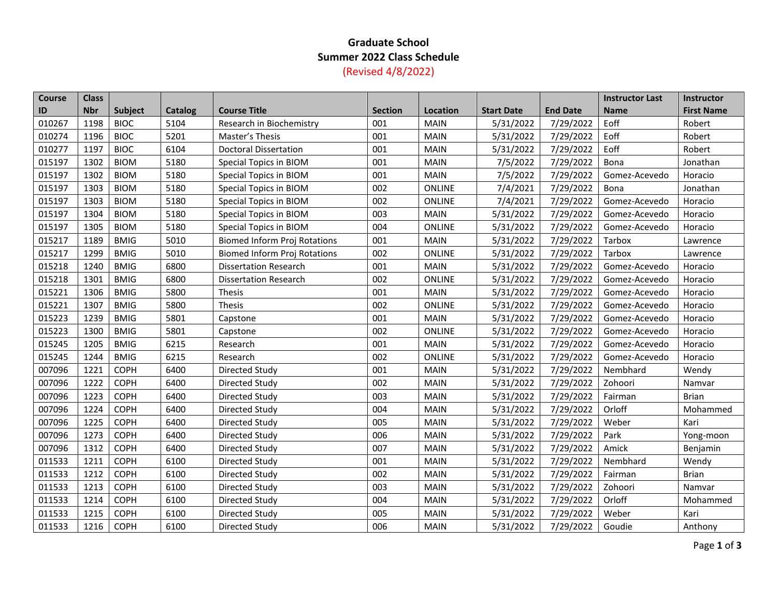## **Graduate School Summer 2022 Class Schedule** (Revised 4/8/2022)

| Course | <b>Class</b> |             |                |                                     |                |               |                   |                 | <b>Instructor Last</b> | Instructor        |
|--------|--------------|-------------|----------------|-------------------------------------|----------------|---------------|-------------------|-----------------|------------------------|-------------------|
| ID     | <b>Nbr</b>   | Subject     | <b>Catalog</b> | <b>Course Title</b>                 | <b>Section</b> | Location      | <b>Start Date</b> | <b>End Date</b> | <b>Name</b>            | <b>First Name</b> |
| 010267 | 1198         | <b>BIOC</b> | 5104           | Research in Biochemistry            | 001            | <b>MAIN</b>   | 5/31/2022         | 7/29/2022       | Eoff                   | Robert            |
| 010274 | 1196         | <b>BIOC</b> | 5201           | Master's Thesis                     | 001            | MAIN          | 5/31/2022         | 7/29/2022       | Eoff                   | Robert            |
| 010277 | 1197         | <b>BIOC</b> | 6104           | <b>Doctoral Dissertation</b>        | 001            | <b>MAIN</b>   | 5/31/2022         | 7/29/2022       | Eoff                   | Robert            |
| 015197 | 1302         | <b>BIOM</b> | 5180           | Special Topics in BIOM              | 001            | <b>MAIN</b>   | 7/5/2022          | 7/29/2022       | Bona                   | Jonathan          |
| 015197 | 1302         | <b>BIOM</b> | 5180           | Special Topics in BIOM              | 001            | <b>MAIN</b>   | 7/5/2022          | 7/29/2022       | Gomez-Acevedo          | Horacio           |
| 015197 | 1303         | <b>BIOM</b> | 5180           | Special Topics in BIOM              | 002            | ONLINE        | 7/4/2021          | 7/29/2022       | Bona                   | Jonathan          |
| 015197 | 1303         | <b>BIOM</b> | 5180           | Special Topics in BIOM              | 002            | ONLINE        | 7/4/2021          | 7/29/2022       | Gomez-Acevedo          | Horacio           |
| 015197 | 1304         | <b>BIOM</b> | 5180           | Special Topics in BIOM              | 003            | <b>MAIN</b>   | 5/31/2022         | 7/29/2022       | Gomez-Acevedo          | Horacio           |
| 015197 | 1305         | <b>BIOM</b> | 5180           | Special Topics in BIOM              | 004            | ONLINE        | 5/31/2022         | 7/29/2022       | Gomez-Acevedo          | Horacio           |
| 015217 | 1189         | <b>BMIG</b> | 5010           | <b>Biomed Inform Proj Rotations</b> | 001            | <b>MAIN</b>   | 5/31/2022         | 7/29/2022       | Tarbox                 | Lawrence          |
| 015217 | 1299         | <b>BMIG</b> | 5010           | <b>Biomed Inform Proj Rotations</b> | 002            | <b>ONLINE</b> | 5/31/2022         | 7/29/2022       | Tarbox                 | Lawrence          |
| 015218 | 1240         | <b>BMIG</b> | 6800           | <b>Dissertation Research</b>        | 001            | <b>MAIN</b>   | 5/31/2022         | 7/29/2022       | Gomez-Acevedo          | Horacio           |
| 015218 | 1301         | <b>BMIG</b> | 6800           | <b>Dissertation Research</b>        | 002            | <b>ONLINE</b> | 5/31/2022         | 7/29/2022       | Gomez-Acevedo          | Horacio           |
| 015221 | 1306         | <b>BMIG</b> | 5800           | <b>Thesis</b>                       | 001            | <b>MAIN</b>   | 5/31/2022         | 7/29/2022       | Gomez-Acevedo          | Horacio           |
| 015221 | 1307         | <b>BMIG</b> | 5800           | <b>Thesis</b>                       | 002            | <b>ONLINE</b> | 5/31/2022         | 7/29/2022       | Gomez-Acevedo          | Horacio           |
| 015223 | 1239         | <b>BMIG</b> | 5801           | Capstone                            | 001            | <b>MAIN</b>   | 5/31/2022         | 7/29/2022       | Gomez-Acevedo          | Horacio           |
| 015223 | 1300         | <b>BMIG</b> | 5801           | Capstone                            | 002            | <b>ONLINE</b> | 5/31/2022         | 7/29/2022       | Gomez-Acevedo          | Horacio           |
| 015245 | 1205         | <b>BMIG</b> | 6215           | Research                            | 001            | MAIN          | 5/31/2022         | 7/29/2022       | Gomez-Acevedo          | Horacio           |
| 015245 | 1244         | <b>BMIG</b> | 6215           | Research                            | 002            | ONLINE        | 5/31/2022         | 7/29/2022       | Gomez-Acevedo          | Horacio           |
| 007096 | 1221         | <b>COPH</b> | 6400           | Directed Study                      | 001            | <b>MAIN</b>   | 5/31/2022         | 7/29/2022       | Nembhard               | Wendy             |
| 007096 | 1222         | <b>COPH</b> | 6400           | Directed Study                      | 002            | <b>MAIN</b>   | 5/31/2022         | 7/29/2022       | Zohoori                | Namvar            |
| 007096 | 1223         | <b>COPH</b> | 6400           | Directed Study                      | 003            | <b>MAIN</b>   | 5/31/2022         | 7/29/2022       | Fairman                | <b>Brian</b>      |
| 007096 | 1224         | COPH        | 6400           | Directed Study                      | 004            | <b>MAIN</b>   | 5/31/2022         | 7/29/2022       | Orloff                 | Mohammed          |
| 007096 | 1225         | <b>COPH</b> | 6400           | Directed Study                      | 005            | <b>MAIN</b>   | 5/31/2022         | 7/29/2022       | Weber                  | Kari              |
| 007096 | 1273         | COPH        | 6400           | Directed Study                      | 006            | <b>MAIN</b>   | 5/31/2022         | 7/29/2022       | Park                   | Yong-moon         |
| 007096 | 1312         | <b>COPH</b> | 6400           | Directed Study                      | 007            | <b>MAIN</b>   | 5/31/2022         | 7/29/2022       | Amick                  | Benjamin          |
| 011533 | 1211         | <b>COPH</b> | 6100           | Directed Study                      | 001            | <b>MAIN</b>   | 5/31/2022         | 7/29/2022       | Nembhard               | Wendy             |
| 011533 | 1212         | <b>COPH</b> | 6100           | Directed Study                      | 002            | <b>MAIN</b>   | 5/31/2022         | 7/29/2022       | Fairman                | <b>Brian</b>      |
| 011533 | 1213         | <b>COPH</b> | 6100           | Directed Study                      | 003            | <b>MAIN</b>   | 5/31/2022         | 7/29/2022       | Zohoori                | Namvar            |
| 011533 | 1214         | <b>COPH</b> | 6100           | Directed Study                      | 004            | <b>MAIN</b>   | 5/31/2022         | 7/29/2022       | Orloff                 | Mohammed          |
| 011533 | 1215         | <b>COPH</b> | 6100           | Directed Study                      | 005            | <b>MAIN</b>   | 5/31/2022         | 7/29/2022       | Weber                  | Kari              |
| 011533 | 1216         | COPH        | 6100           | Directed Study                      | 006            | <b>MAIN</b>   | 5/31/2022         | 7/29/2022       | Goudie                 | Anthony           |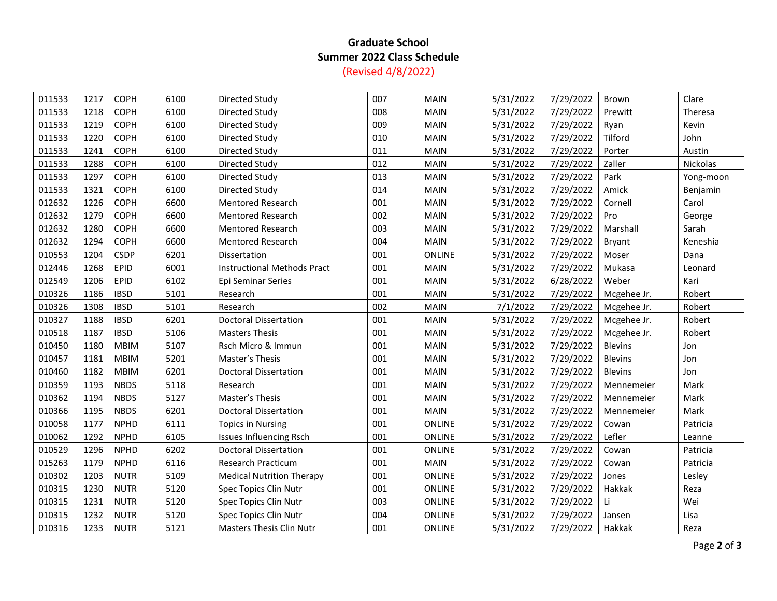## **Graduate School Summer 2022 Class Schedule** (Revised 4/8/2022)

| 011533 | 1217 | <b>COPH</b> | 6100 | Directed Study                     | 007 | <b>MAIN</b>   | 5/31/2022 | 7/29/2022 | Brown          | Clare     |
|--------|------|-------------|------|------------------------------------|-----|---------------|-----------|-----------|----------------|-----------|
| 011533 | 1218 | COPH        | 6100 | Directed Study                     | 008 | <b>MAIN</b>   | 5/31/2022 | 7/29/2022 | Prewitt        | Theresa   |
| 011533 | 1219 | <b>COPH</b> | 6100 | Directed Study                     | 009 | <b>MAIN</b>   | 5/31/2022 | 7/29/2022 | Ryan           | Kevin     |
| 011533 | 1220 | COPH        | 6100 | Directed Study                     | 010 | <b>MAIN</b>   | 5/31/2022 | 7/29/2022 | Tilford        | John      |
| 011533 | 1241 | COPH        | 6100 | Directed Study                     | 011 | <b>MAIN</b>   | 5/31/2022 | 7/29/2022 | Porter         | Austin    |
| 011533 | 1288 | <b>COPH</b> | 6100 | Directed Study                     | 012 | <b>MAIN</b>   | 5/31/2022 | 7/29/2022 | Zaller         | Nickolas  |
| 011533 | 1297 | COPH        | 6100 | Directed Study                     | 013 | MAIN          | 5/31/2022 | 7/29/2022 | Park           | Yong-moon |
| 011533 | 1321 | COPH        | 6100 | Directed Study                     | 014 | <b>MAIN</b>   | 5/31/2022 | 7/29/2022 | Amick          | Benjamin  |
| 012632 | 1226 | <b>COPH</b> | 6600 | <b>Mentored Research</b>           | 001 | <b>MAIN</b>   | 5/31/2022 | 7/29/2022 | Cornell        | Carol     |
| 012632 | 1279 | COPH        | 6600 | <b>Mentored Research</b>           | 002 | <b>MAIN</b>   | 5/31/2022 | 7/29/2022 | Pro            | George    |
| 012632 | 1280 | COPH        | 6600 | Mentored Research                  | 003 | MAIN          | 5/31/2022 | 7/29/2022 | Marshall       | Sarah     |
| 012632 | 1294 | <b>COPH</b> | 6600 | Mentored Research                  | 004 | <b>MAIN</b>   | 5/31/2022 | 7/29/2022 | Bryant         | Keneshia  |
| 010553 | 1204 | <b>CSDP</b> | 6201 | Dissertation                       | 001 | <b>ONLINE</b> | 5/31/2022 | 7/29/2022 | Moser          | Dana      |
| 012446 | 1268 | EPID        | 6001 | <b>Instructional Methods Pract</b> | 001 | MAIN          | 5/31/2022 | 7/29/2022 | Mukasa         | Leonard   |
| 012549 | 1206 | EPID        | 6102 | Epi Seminar Series                 | 001 | <b>MAIN</b>   | 5/31/2022 | 6/28/2022 | Weber          | Kari      |
| 010326 | 1186 | <b>IBSD</b> | 5101 | Research                           | 001 | MAIN          | 5/31/2022 | 7/29/2022 | Mcgehee Jr.    | Robert    |
| 010326 | 1308 | <b>IBSD</b> | 5101 | Research                           | 002 | <b>MAIN</b>   | 7/1/2022  | 7/29/2022 | Mcgehee Jr.    | Robert    |
| 010327 | 1188 | <b>IBSD</b> | 6201 | Doctoral Dissertation              | 001 | <b>MAIN</b>   | 5/31/2022 | 7/29/2022 | Mcgehee Jr.    | Robert    |
| 010518 | 1187 | <b>IBSD</b> | 5106 | <b>Masters Thesis</b>              | 001 | <b>MAIN</b>   | 5/31/2022 | 7/29/2022 | Mcgehee Jr.    | Robert    |
| 010450 | 1180 | <b>MBIM</b> | 5107 | Rsch Micro & Immun                 | 001 | <b>MAIN</b>   | 5/31/2022 | 7/29/2022 | <b>Blevins</b> | Jon       |
| 010457 | 1181 | <b>MBIM</b> | 5201 | Master's Thesis                    | 001 | <b>MAIN</b>   | 5/31/2022 | 7/29/2022 | <b>Blevins</b> | Jon       |
| 010460 | 1182 | <b>MBIM</b> | 6201 | Doctoral Dissertation              | 001 | <b>MAIN</b>   | 5/31/2022 | 7/29/2022 | <b>Blevins</b> | Jon       |
| 010359 | 1193 | <b>NBDS</b> | 5118 | Research                           | 001 | <b>MAIN</b>   | 5/31/2022 | 7/29/2022 | Mennemeier     | Mark      |
| 010362 | 1194 | <b>NBDS</b> | 5127 | Master's Thesis                    | 001 | <b>MAIN</b>   | 5/31/2022 | 7/29/2022 | Mennemeier     | Mark      |
| 010366 | 1195 | <b>NBDS</b> | 6201 | <b>Doctoral Dissertation</b>       | 001 | <b>MAIN</b>   | 5/31/2022 | 7/29/2022 | Mennemeier     | Mark      |
| 010058 | 1177 | <b>NPHD</b> | 6111 | <b>Topics in Nursing</b>           | 001 | ONLINE        | 5/31/2022 | 7/29/2022 | Cowan          | Patricia  |
| 010062 | 1292 | <b>NPHD</b> | 6105 | <b>Issues Influencing Rsch</b>     | 001 | ONLINE        | 5/31/2022 | 7/29/2022 | Lefler         | Leanne    |
| 010529 | 1296 | <b>NPHD</b> | 6202 | <b>Doctoral Dissertation</b>       | 001 | ONLINE        | 5/31/2022 | 7/29/2022 | Cowan          | Patricia  |
| 015263 | 1179 | <b>NPHD</b> | 6116 | Research Practicum                 | 001 | <b>MAIN</b>   | 5/31/2022 | 7/29/2022 | Cowan          | Patricia  |
| 010302 | 1203 | <b>NUTR</b> | 5109 | <b>Medical Nutrition Therapy</b>   | 001 | <b>ONLINE</b> | 5/31/2022 | 7/29/2022 | Jones          | Lesley    |
| 010315 | 1230 | <b>NUTR</b> | 5120 | Spec Topics Clin Nutr              | 001 | ONLINE        | 5/31/2022 | 7/29/2022 | Hakkak         | Reza      |
| 010315 | 1231 | <b>NUTR</b> | 5120 | Spec Topics Clin Nutr              | 003 | ONLINE        | 5/31/2022 | 7/29/2022 | Li             | Wei       |
| 010315 | 1232 | <b>NUTR</b> | 5120 | Spec Topics Clin Nutr              | 004 | ONLINE        | 5/31/2022 | 7/29/2022 | Jansen         | Lisa      |
| 010316 | 1233 | <b>NUTR</b> | 5121 | <b>Masters Thesis Clin Nutr</b>    | 001 | <b>ONLINE</b> | 5/31/2022 | 7/29/2022 | Hakkak         | Reza      |